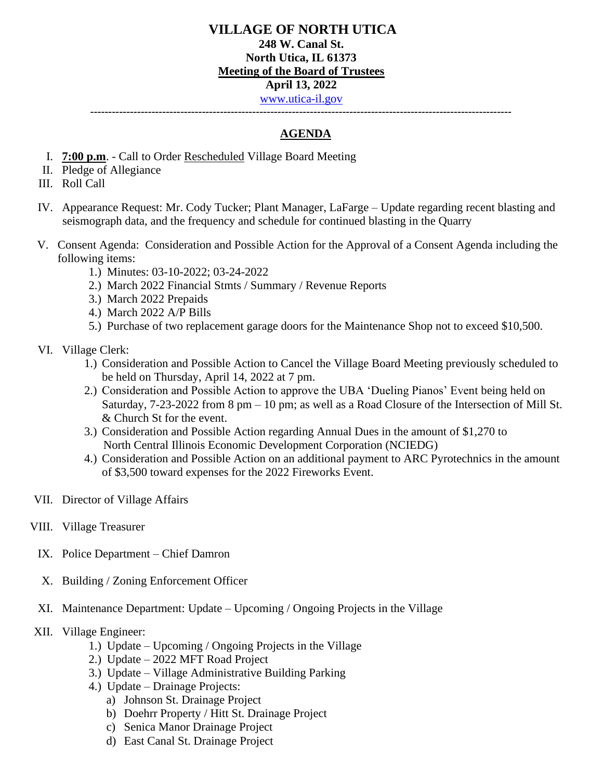**---------------------------------------------------------------------------------------------------------------------**

## **AGENDA**

- I. **7:00 p.m**. Call to Order Rescheduled Village Board Meeting
- II. Pledge of Allegiance
- III. Roll Call
- IV. Appearance Request: Mr. Cody Tucker; Plant Manager, LaFarge Update regarding recent blasting and seismograph data, and the frequency and schedule for continued blasting in the Quarry
- V. Consent Agenda: Consideration and Possible Action for the Approval of a Consent Agenda including the following items:
	- 1.) Minutes: 03-10-2022; 03-24-2022
	- 2.) March 2022 Financial Stmts / Summary / Revenue Reports
	- 3.) March 2022 Prepaids
	- 4.) March 2022 A/P Bills
	- 5.) Purchase of two replacement garage doors for the Maintenance Shop not to exceed \$10,500.
- VI. Village Clerk:
	- 1.) Consideration and Possible Action to Cancel the Village Board Meeting previously scheduled to be held on Thursday, April 14, 2022 at 7 pm.
	- 2.) Consideration and Possible Action to approve the UBA 'Dueling Pianos' Event being held on Saturday, 7-23-2022 from 8 pm – 10 pm; as well as a Road Closure of the Intersection of Mill St. & Church St for the event.
	- 3.) Consideration and Possible Action regarding Annual Dues in the amount of \$1,270 to North Central Illinois Economic Development Corporation (NCIEDG)
	- 4.) Consideration and Possible Action on an additional payment to ARC Pyrotechnics in the amount of \$3,500 toward expenses for the 2022 Fireworks Event.
- VII. Director of Village Affairs
- VIII. Village Treasurer
- IX. Police Department Chief Damron
- X. Building / Zoning Enforcement Officer
- XI. Maintenance Department: Update Upcoming / Ongoing Projects in the Village
- XII. Village Engineer:
	- 1.) Update Upcoming / Ongoing Projects in the Village
	- 2.) Update 2022 MFT Road Project
	- 3.) Update Village Administrative Building Parking
	- 4.) Update Drainage Projects:
		- a) Johnson St. Drainage Project
		- b) Doehrr Property / Hitt St. Drainage Project
		- c) Senica Manor Drainage Project
		- d) East Canal St. Drainage Project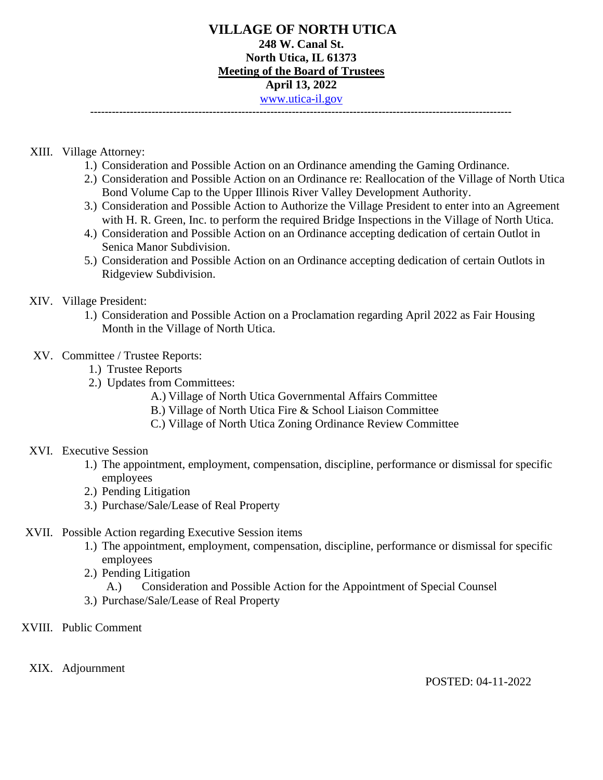### **VILLAGE OF NORTH UTICA 248 W. Canal St. North Utica, IL 61373 Meeting of the Board of Trustees April 13, 2022** [www.utica-il.gov](http://www.utica-il.gov/) **---------------------------------------------------------------------------------------------------------------------**

#### XIII. Village Attorney:

- 1.) Consideration and Possible Action on an Ordinance amending the Gaming Ordinance.
- 2.) Consideration and Possible Action on an Ordinance re: Reallocation of the Village of North Utica Bond Volume Cap to the Upper Illinois River Valley Development Authority.
- 3.) Consideration and Possible Action to Authorize the Village President to enter into an Agreement with H. R. Green, Inc. to perform the required Bridge Inspections in the Village of North Utica.
- 4.) Consideration and Possible Action on an Ordinance accepting dedication of certain Outlot in Senica Manor Subdivision.
- 5.) Consideration and Possible Action on an Ordinance accepting dedication of certain Outlots in Ridgeview Subdivision.

### XIV. Village President:

1.) Consideration and Possible Action on a Proclamation regarding April 2022 as Fair Housing Month in the Village of North Utica.

### XV. Committee / Trustee Reports:

- 1.) Trustee Reports
- 2.) Updates from Committees:
	- A.) Village of North Utica Governmental Affairs Committee
	- B.) Village of North Utica Fire & School Liaison Committee
	- C.) Village of North Utica Zoning Ordinance Review Committee

#### XVI. Executive Session

- 1.) The appointment, employment, compensation, discipline, performance or dismissal for specific employees
- 2.) Pending Litigation
- 3.) Purchase/Sale/Lease of Real Property

## XVII. Possible Action regarding Executive Session items

- 1.) The appointment, employment, compensation, discipline, performance or dismissal for specific employees
- 2.) Pending Litigation
	- A.) Consideration and Possible Action for the Appointment of Special Counsel
- 3.) Purchase/Sale/Lease of Real Property
- XVIII. Public Comment

XIX. Adjournment

POSTED: 04-11-2022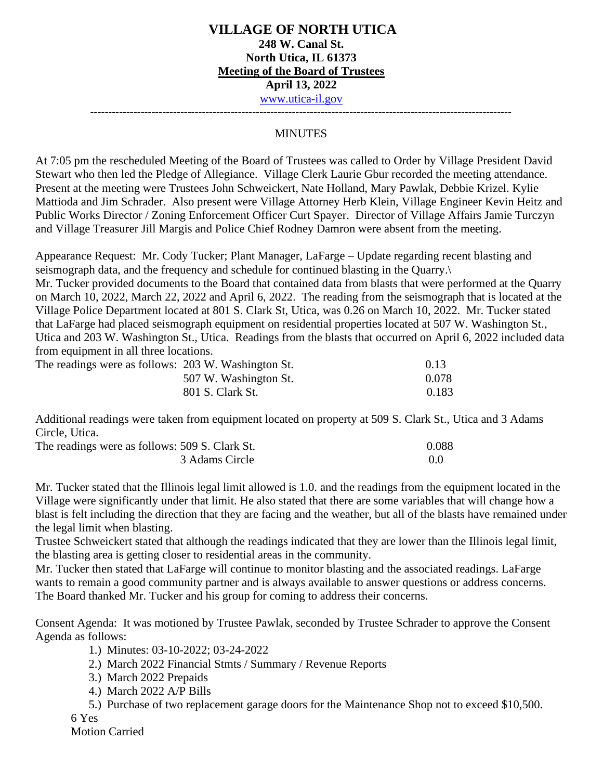**---------------------------------------------------------------------------------------------------------------------**

### **MINUTES**

At 7:05 pm the rescheduled Meeting of the Board of Trustees was called to Order by Village President David Stewart who then led the Pledge of Allegiance. Village Clerk Laurie Gbur recorded the meeting attendance. Present at the meeting were Trustees John Schweickert, Nate Holland, Mary Pawlak, Debbie Krizel. Kylie Mattioda and Jim Schrader. Also present were Village Attorney Herb Klein, Village Engineer Kevin Heitz and Public Works Director / Zoning Enforcement Officer Curt Spayer. Director of Village Affairs Jamie Turczyn and Village Treasurer Jill Margis and Police Chief Rodney Damron were absent from the meeting.

Appearance Request: Mr. Cody Tucker; Plant Manager, LaFarge – Update regarding recent blasting and seismograph data, and the frequency and schedule for continued blasting in the Quarry.\

Mr. Tucker provided documents to the Board that contained data from blasts that were performed at the Quarry on March 10, 2022, March 22, 2022 and April 6, 2022. The reading from the seismograph that is located at the Village Police Department located at 801 S. Clark St, Utica, was 0.26 on March 10, 2022. Mr. Tucker stated that LaFarge had placed seismograph equipment on residential properties located at 507 W. Washington St., Utica and 203 W. Washington St., Utica. Readings from the blasts that occurred on April 6, 2022 included data from equipment in all three locations.

| The readings were as follows: 203 W. Washington St. |                       | 0.13  |
|-----------------------------------------------------|-----------------------|-------|
|                                                     | 507 W. Washington St. | 0.078 |
|                                                     | 801 S. Clark St.      | 0.183 |

Additional readings were taken from equipment located on property at 509 S. Clark St., Utica and 3 Adams Circle, Utica.

| The readings were as follows: 509 S. Clark St. | 0.088 |
|------------------------------------------------|-------|
| 3 Adams Circle                                 |       |

Mr. Tucker stated that the Illinois legal limit allowed is 1.0. and the readings from the equipment located in the Village were significantly under that limit. He also stated that there are some variables that will change how a blast is felt including the direction that they are facing and the weather, but all of the blasts have remained under the legal limit when blasting.

Trustee Schweickert stated that although the readings indicated that they are lower than the Illinois legal limit, the blasting area is getting closer to residential areas in the community.

Mr. Tucker then stated that LaFarge will continue to monitor blasting and the associated readings. LaFarge wants to remain a good community partner and is always available to answer questions or address concerns. The Board thanked Mr. Tucker and his group for coming to address their concerns.

Consent Agenda: It was motioned by Trustee Pawlak, seconded by Trustee Schrader to approve the Consent Agenda as follows:

1.) Minutes: 03-10-2022; 03-24-2022

- 2.) March 2022 Financial Stmts / Summary / Revenue Reports
- 3.) March 2022 Prepaids
- 4.) March 2022 A/P Bills

5.) Purchase of two replacement garage doors for the Maintenance Shop not to exceed \$10,500.

6 Yes

Motion Carried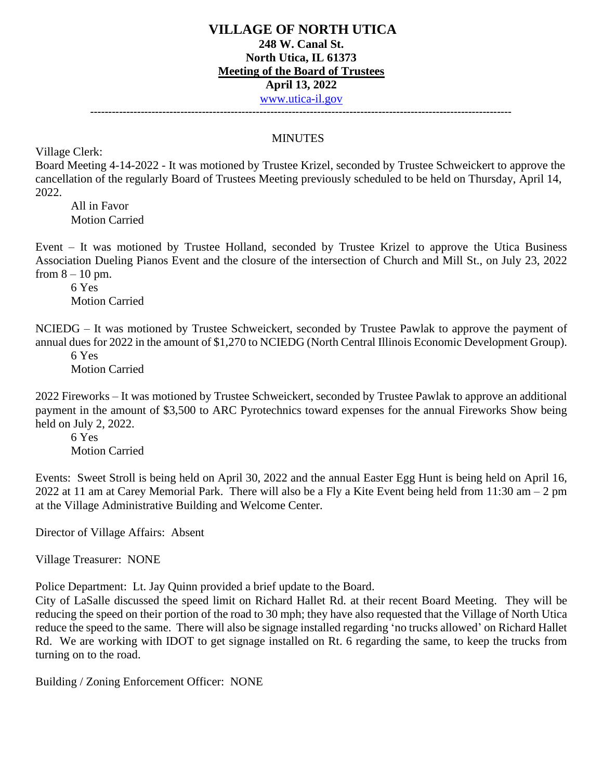**---------------------------------------------------------------------------------------------------------------------**

# **MINUTES**

Village Clerk:

Board Meeting 4-14-2022 - It was motioned by Trustee Krizel, seconded by Trustee Schweickert to approve the cancellation of the regularly Board of Trustees Meeting previously scheduled to be held on Thursday, April 14, 2022.

All in Favor Motion Carried

Event – It was motioned by Trustee Holland, seconded by Trustee Krizel to approve the Utica Business Association Dueling Pianos Event and the closure of the intersection of Church and Mill St., on July 23, 2022 from  $8 - 10$  pm.

6 Yes Motion Carried

NCIEDG – It was motioned by Trustee Schweickert, seconded by Trustee Pawlak to approve the payment of annual dues for 2022 in the amount of \$1,270 to NCIEDG (North Central Illinois Economic Development Group).

6 Yes Motion Carried

2022 Fireworks – It was motioned by Trustee Schweickert, seconded by Trustee Pawlak to approve an additional payment in the amount of \$3,500 to ARC Pyrotechnics toward expenses for the annual Fireworks Show being held on July 2, 2022.

6 Yes Motion Carried

Events: Sweet Stroll is being held on April 30, 2022 and the annual Easter Egg Hunt is being held on April 16, 2022 at 11 am at Carey Memorial Park. There will also be a Fly a Kite Event being held from 11:30 am – 2 pm at the Village Administrative Building and Welcome Center.

Director of Village Affairs: Absent

Village Treasurer: NONE

Police Department: Lt. Jay Quinn provided a brief update to the Board.

City of LaSalle discussed the speed limit on Richard Hallet Rd. at their recent Board Meeting. They will be reducing the speed on their portion of the road to 30 mph; they have also requested that the Village of North Utica reduce the speed to the same. There will also be signage installed regarding 'no trucks allowed' on Richard Hallet Rd. We are working with IDOT to get signage installed on Rt. 6 regarding the same, to keep the trucks from turning on to the road.

Building / Zoning Enforcement Officer: NONE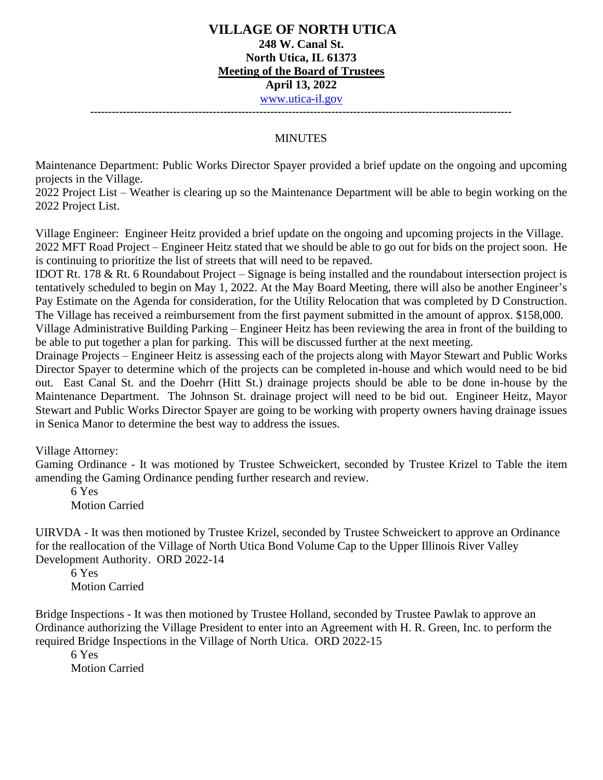**---------------------------------------------------------------------------------------------------------------------**

### **MINUTES**

Maintenance Department: Public Works Director Spayer provided a brief update on the ongoing and upcoming projects in the Village.

2022 Project List – Weather is clearing up so the Maintenance Department will be able to begin working on the 2022 Project List.

Village Engineer: Engineer Heitz provided a brief update on the ongoing and upcoming projects in the Village. 2022 MFT Road Project – Engineer Heitz stated that we should be able to go out for bids on the project soon. He is continuing to prioritize the list of streets that will need to be repaved.

IDOT Rt. 178 & Rt. 6 Roundabout Project – Signage is being installed and the roundabout intersection project is tentatively scheduled to begin on May 1, 2022. At the May Board Meeting, there will also be another Engineer's Pay Estimate on the Agenda for consideration, for the Utility Relocation that was completed by D Construction. The Village has received a reimbursement from the first payment submitted in the amount of approx. \$158,000.

Village Administrative Building Parking – Engineer Heitz has been reviewing the area in front of the building to be able to put together a plan for parking. This will be discussed further at the next meeting.

Drainage Projects – Engineer Heitz is assessing each of the projects along with Mayor Stewart and Public Works Director Spayer to determine which of the projects can be completed in-house and which would need to be bid out. East Canal St. and the Doehrr (Hitt St.) drainage projects should be able to be done in-house by the Maintenance Department. The Johnson St. drainage project will need to be bid out. Engineer Heitz, Mayor Stewart and Public Works Director Spayer are going to be working with property owners having drainage issues in Senica Manor to determine the best way to address the issues.

Village Attorney:

Gaming Ordinance - It was motioned by Trustee Schweickert, seconded by Trustee Krizel to Table the item amending the Gaming Ordinance pending further research and review.

6 Yes Motion Carried

UIRVDA - It was then motioned by Trustee Krizel, seconded by Trustee Schweickert to approve an Ordinance for the reallocation of the Village of North Utica Bond Volume Cap to the Upper Illinois River Valley Development Authority. ORD 2022-14

6 Yes Motion Carried

Bridge Inspections - It was then motioned by Trustee Holland, seconded by Trustee Pawlak to approve an Ordinance authorizing the Village President to enter into an Agreement with H. R. Green, Inc. to perform the required Bridge Inspections in the Village of North Utica. ORD 2022-15

6 Yes Motion Carried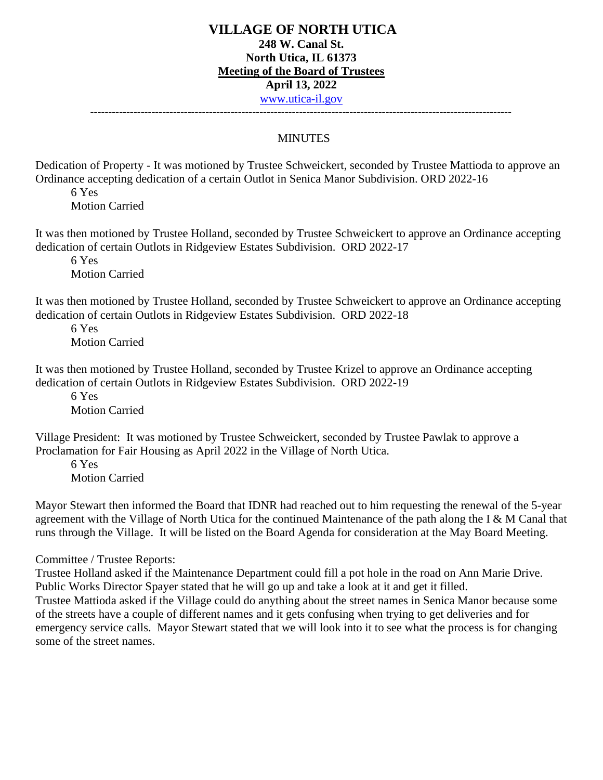**---------------------------------------------------------------------------------------------------------------------**

### **MINUTES**

Dedication of Property - It was motioned by Trustee Schweickert, seconded by Trustee Mattioda to approve an Ordinance accepting dedication of a certain Outlot in Senica Manor Subdivision. ORD 2022-16

6 Yes Motion Carried

It was then motioned by Trustee Holland, seconded by Trustee Schweickert to approve an Ordinance accepting dedication of certain Outlots in Ridgeview Estates Subdivision. ORD 2022-17

6 Yes Motion Carried

It was then motioned by Trustee Holland, seconded by Trustee Schweickert to approve an Ordinance accepting dedication of certain Outlots in Ridgeview Estates Subdivision. ORD 2022-18

6 Yes Motion Carried

It was then motioned by Trustee Holland, seconded by Trustee Krizel to approve an Ordinance accepting dedication of certain Outlots in Ridgeview Estates Subdivision. ORD 2022-19

6 Yes Motion Carried

Village President: It was motioned by Trustee Schweickert, seconded by Trustee Pawlak to approve a Proclamation for Fair Housing as April 2022 in the Village of North Utica.

6 Yes Motion Carried

Mayor Stewart then informed the Board that IDNR had reached out to him requesting the renewal of the 5-year agreement with the Village of North Utica for the continued Maintenance of the path along the I & M Canal that runs through the Village. It will be listed on the Board Agenda for consideration at the May Board Meeting.

Committee / Trustee Reports:

Trustee Holland asked if the Maintenance Department could fill a pot hole in the road on Ann Marie Drive. Public Works Director Spayer stated that he will go up and take a look at it and get it filled. Trustee Mattioda asked if the Village could do anything about the street names in Senica Manor because some of the streets have a couple of different names and it gets confusing when trying to get deliveries and for emergency service calls. Mayor Stewart stated that we will look into it to see what the process is for changing some of the street names.